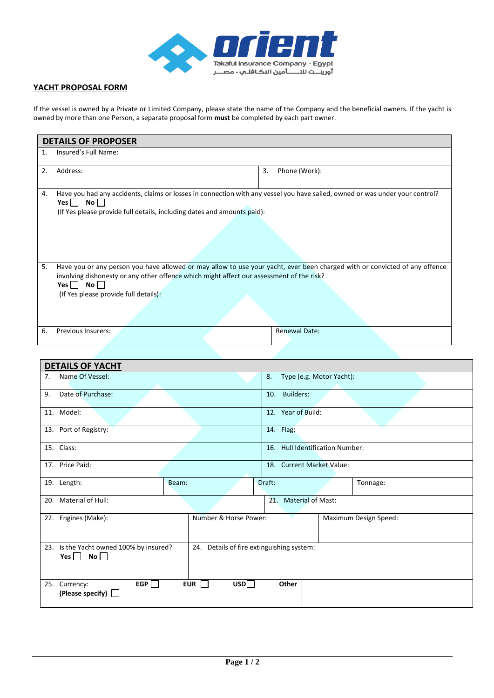

## **YACHT PROPOSAL FORM**

If the vessel is owned by a Private or Limited Company, please state the name of the Company and the beneficial owners. If the yacht is owned by more than one Person, a separate proposal form **must** be completed by each part owner.

| <b>DETAILS OF PROPOSER</b> |                                                                                                                                                                                                                                                                           |                      |  |  |  |  |  |
|----------------------------|---------------------------------------------------------------------------------------------------------------------------------------------------------------------------------------------------------------------------------------------------------------------------|----------------------|--|--|--|--|--|
| 1.                         | Insured's Full Name:                                                                                                                                                                                                                                                      |                      |  |  |  |  |  |
| 2.                         | Address:                                                                                                                                                                                                                                                                  | Phone (Work):<br>3.  |  |  |  |  |  |
| 4.                         | Have you had any accidents, claims or losses in connection with any vessel you have sailed, owned or was under your control?<br>$No$ $ $<br>Yes    <br>(If Yes please provide full details, including dates and amounts paid):                                            |                      |  |  |  |  |  |
| 5.                         | Have you or any person you have allowed or may allow to use your yacht, ever been charged with or convicted of any offence<br>involving dishonesty or any other offence which might affect our assessment of the risk?<br>Yes No<br>(If Yes please provide full details): |                      |  |  |  |  |  |
| 6.                         | Previous Insurers:                                                                                                                                                                                                                                                        | <b>Renewal Date:</b> |  |  |  |  |  |

| <b>DETAILS OF YACHT</b> |                                                                 |       |                                           |        |                                 |                       |          |  |
|-------------------------|-----------------------------------------------------------------|-------|-------------------------------------------|--------|---------------------------------|-----------------------|----------|--|
| 7 <sub>1</sub>          | Name Of Vessel:                                                 |       |                                           |        | 8.<br>Type (e.g. Motor Yacht):  |                       |          |  |
| 9.                      | Date of Purchase:                                               |       |                                           |        | Builders:<br>10.                |                       |          |  |
| 11. Model:              |                                                                 |       |                                           |        | 12. Year of Build:              |                       |          |  |
|                         | 13. Port of Registry:                                           |       |                                           |        | 14. Flag:                       |                       |          |  |
| 15. Class:              |                                                                 |       |                                           |        | 16. Hull Identification Number: |                       |          |  |
| 17. Price Paid:         |                                                                 |       |                                           |        | 18. Current Market Value:       |                       |          |  |
| 19. Length:             |                                                                 | Beam: |                                           | Draft: |                                 |                       | Tonnage: |  |
| 20.                     | Material of Hull:                                               |       |                                           |        | <b>Material of Mast:</b><br>21. |                       |          |  |
|                         | 22. Engines (Make):                                             |       | Number & Horse Power:                     |        |                                 | Maximum Design Speed: |          |  |
|                         | 23. Is the Yacht owned 100% by insured?<br>Yes $\Box$ No $\Box$ |       | 24. Details of fire extinguishing system: |        |                                 |                       |          |  |
| 25. Currency:           | EGP<br>(Please specify) $\Box$                                  |       | USD<br><b>EUR</b>                         |        | Other                           |                       |          |  |